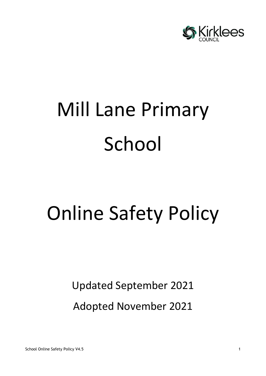

# Mill Lane Primary School

## Online Safety Policy

Updated September 2021

Adopted November 2021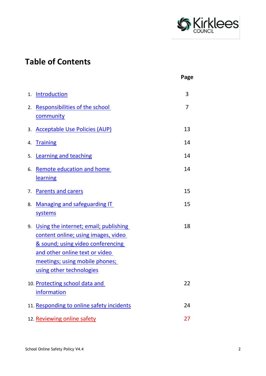

## **Table of Contents**

|    |                                                                                                                                                                                                                              | Page |
|----|------------------------------------------------------------------------------------------------------------------------------------------------------------------------------------------------------------------------------|------|
|    | 1. Introduction                                                                                                                                                                                                              | 3    |
| 2. | Responsibilities of the school<br>community                                                                                                                                                                                  | 7    |
| 3. | <b>Acceptable Use Policies (AUP)</b>                                                                                                                                                                                         | 13   |
| 4. | <b>Training</b>                                                                                                                                                                                                              | 14   |
| 5. | <b>Learning and teaching</b>                                                                                                                                                                                                 | 14   |
| 6. | <b>Remote education and home</b><br>learning                                                                                                                                                                                 | 14   |
|    | 7. Parents and carers                                                                                                                                                                                                        | 15   |
| 8. | <b>Managing and safeguarding IT</b><br>systems                                                                                                                                                                               | 15   |
| 9. | Using the internet; email; publishing<br>content online; using images, video<br><u>&amp; sound; using video conferencing</u><br>and other online text or video<br>meetings; using mobile phones;<br>using other technologies | 18   |
|    | 10. Protecting school data and<br>information                                                                                                                                                                                | 22   |
|    | 11. Responding to online safety incidents                                                                                                                                                                                    | 24   |
|    | 12. Reviewing online safety                                                                                                                                                                                                  | 27   |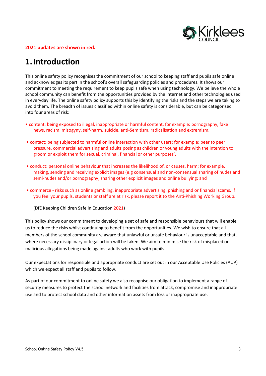

#### **2021 updates are shown in red.**

## <span id="page-2-0"></span>**1.Introduction**

This online safety policy recognises the commitment of our school to keeping staff and pupils safe online and acknowledges its part in the school's overall safeguarding policies and procedures. It shows our commitment to meeting the requirement to keep pupils safe when using technology. We believe the whole school community can benefit from the opportunities provided by the internet and other technologies used in everyday life. The online safety policy supports this by identifying the risks and the steps we are taking to avoid them. The breadth of issues classified within online safety is considerable, but can be categorised into four areas of risk:

- content: being exposed to illegal, inappropriate or harmful content, for example: pornography, fake news, racism, misogyny, self-harm, suicide, anti-Semitism, radicalisation and extremism.
- contact: being subjected to harmful online interaction with other users; for example: peer to peer pressure, commercial advertising and adults posing as children or young adults with the intention to groom or exploit them for sexual, criminal, financial or other purposes'.
- conduct: personal online behaviour that increases the likelihood of, or causes, harm; for example, making, sending and receiving explicit images (e.g consensual and non-consensual sharing of nudes and semi-nudes and/or pornography, sharing other explicit images and online bullying; and
- commerce risks such as online gambling, inappropriate advertising, phishing and or financial scams. If you feel your pupils, students or staff are at risk, please report it to the Anti-Phishing Working Group.

(DfE Keeping Children Safe in Education 2021)

This policy shows our commitment to developing a set of safe and responsible behaviours that will enable us to reduce the risks whilst continuing to benefit from the opportunities. We wish to ensure that all members of the school community are aware that unlawful or unsafe behaviour is unacceptable and that, where necessary disciplinary or legal action will be taken. We aim to minimise the risk of misplaced or malicious allegations being made against adults who work with pupils.

Our expectations for responsible and appropriate conduct are set out in our Acceptable Use Policies (AUP) which we expect all staff and pupils to follow.

As part of our commitment to online safety we also recognise our obligation to implement a range of security measures to protect the school network and facilities from attack, compromise and inappropriate use and to protect school data and other information assets from loss or inappropriate use.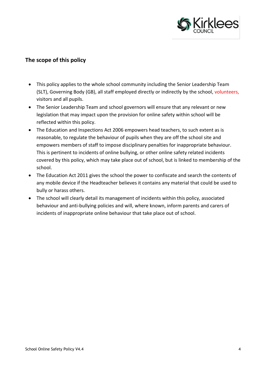

#### **The scope of this policy**

- This policy applies to the whole school community including the Senior Leadership Team (SLT), Governing Body (GB), all staff employed directly or indirectly by the school, volunteers, visitors and all pupils.
- The Senior Leadership Team and school governors will ensure that any relevant or new legislation that may impact upon the provision for online safety within school will be reflected within this policy.
- The Education and Inspections Act 2006 empowers head teachers, to such extent as is reasonable, to regulate the behaviour of pupils when they are off the school site and empowers members of staff to impose disciplinary penalties for inappropriate behaviour. This is pertinent to incidents of online bullying, or other online safety related incidents covered by this policy, which may take place out of school, but is linked to membership of the school.
- The Education Act 2011 gives the school the power to confiscate and search the contents of any mobile device if the Headteacher believes it contains any material that could be used to bully or harass others.
- The school will clearly detail its management of incidents within this policy, associated behaviour and anti-bullying policies and will, where known, inform parents and carers of incidents of inappropriate online behaviour that take place out of school.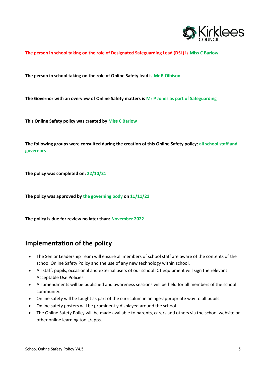

#### **The person in school taking on the role of Designated Safeguarding Lead (DSL) is Miss C Barlow**

**The person in school taking on the role of Online Safety lead is Mr R Olbison**

**The Governor with an overview of Online Safety matters is Mr P Jones as part of Safeguarding**

**This Online Safety policy was created by Miss C Barlow**

**The following groups were consulted during the creation of this Online Safety policy: all school staff and governors**

**The policy was completed on: 22/10/21**

**The policy was approved by the governing body on 11/11/21**

**The policy is due for review no later than: November 2022**

#### **Implementation of the policy**

- The Senior Leadership Team will ensure all members of school staff are aware of the contents of the school Online Safety Policy and the use of any new technology within school.
- All staff, pupils, occasional and external users of our school ICT equipment will sign the relevant Acceptable Use Policies
- All amendments will be published and awareness sessions will be held for all members of the school community.
- Online safety will be taught as part of the curriculum in an age-appropriate way to all pupils.
- Online safety posters will be prominently displayed around the school.
- The Online Safety Policy will be made available to parents, carers and others via the school website or other online learning tools/apps.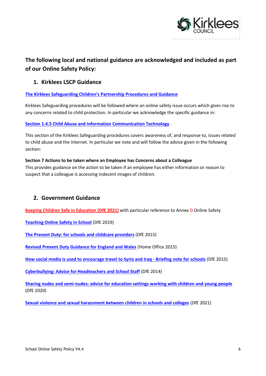

#### **The following local and national guidance are acknowledged and included as part of our Online Safety Policy:**

#### **1. Kirklees LSCP Guidance**

**[The Kirklees Safeguarding Children's](https://www.kirkleessafeguardingchildren.co.uk/procedures-local-protocols-and-guidance/) Partnership Procedures and Guidance**

Kirklees Safeguarding procedures will be followed where an online safety issue occurs which gives rise to any concerns related to child protection. In particular we acknowledge the specific guidance in:

**Section 1.4.5 [Child Abuse and Information Communication Technology](https://westyorkscb.proceduresonline.com/p_ca_information.html)**

This section of the Kirklees Safeguarding procedures covers awareness of, and response to, issues related to child abuse and the internet. In particular we note and will follow the advice given in the following section:

#### **Section 7 Actions to be taken where an Employee has Concerns about a Colleague**

This provides guidance on the action to be taken if an employee has either information or reason to suspect that a colleague is accessing indecent images of children.

#### **2. Government Guidance**

**[Keeping Children Safe in Education \(DfE 2021\)](https://assets.publishing.service.gov.uk/government/uploads/system/uploads/attachment_data/file/1007260/Keeping_children_safe_in_education_2021.pdf)** with particular reference to Annex D Online Safety

**[Teaching Online Safety in School](https://www.gov.uk/government/publications/teaching-online-safety-in-schools)** (DfE 2019)

**[The Prevent Duty: for schools and childcare providers](https://www.gov.uk/government/publications/protecting-children-from-radicalisation-the-prevent-duty)** (DfE 2015)

**[Revised Prevent Duty Guidance for England and Wales](https://www.gov.uk/government/publications/prevent-duty-guidance)** (Home Office 2015)

**[How social media is used to encourage travel to Syria and Iraq -](https://www.gov.uk/government/publications/the-use-of-social-media-for-online-radicalisation) Briefing note for schools** (DfE 2015)

**[Cyberbullying: Advice for Headteachers and School Staff](https://www.gov.uk/government/publications/preventing-and-tackling-bullying)** (DfE 2014)

**[Sharing nudes and semi-nudes: advice for education settings working with children and young people](https://www.gov.uk/government/publications/sharing-nudes-and-semi-nudes-advice-for-education-settings-working-with-children-and-young-people)** (DfE 2020)

**[Sexual violence and sexual harassment between children in schools and colleges](https://www.gov.uk/government/publications/sexual-violence-and-sexual-harassment-between-children-in-schools-and-colleges?utm_medium=email&utm_campaign=govuk-notifications&utm_source=f6163241-1ba6-436c-8010-ab59b7e4c7d5&utm_content=daily)** (DfE 2021)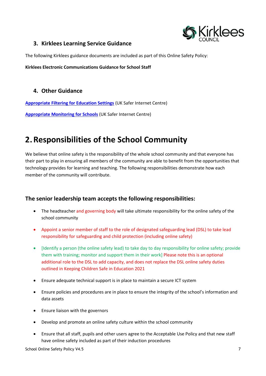

#### **3. [Kirklees Learning Service Guidance](http://www2.kirklees.gov.uk/childrenandfamilies/teachersAndGovernors/curriculum/eSafety/policyGuidance.shtml)**

The following Kirklees guidance documents are included as part of this Online Safety Policy:

**Kirklees Electronic Communications Guidance for School Staff**

#### **4. Other Guidance**

**[Appropriate Filtering for Education Settings](http://www.saferinternet.org.uk/advice-and-resources/teachers-and-professionals/appropriate-filtering-and-monitoring)** (UK Safer Internet Centre)

**[Appropriate Monitoring for Schools](http://www.saferinternet.org.uk/advice-and-resources/teachers-and-professionals/appropriate-filtering-and-monitoring)** (UK Safer Internet Centre)

## <span id="page-6-0"></span>**2.Responsibilities of the School Community**

We believe that online safety is the responsibility of the whole school community and that everyone has their part to play in ensuring all members of the community are able to benefit from the opportunities that technology provides for learning and teaching. The following responsibilities demonstrate how each member of the community will contribute.

#### **The senior leadership team accepts the following responsibilities:**

- The headteacher and governing body will take ultimate responsibility for the online safety of the school community
- Appoint a senior member of staff to the role of designated safeguarding lead (DSL) to take lead responsibility for safeguarding and child protection (including online safety)
- [Identify a person (the online safety lead) to take day to day responsibility for online safety; provide them with training; monitor and support them in their work] Please note this is an optional additional role to the DSL to add capacity, and does not replace the DSL online safety duties outlined in Keeping Children Safe in Education 2021
- Ensure adequate technical support is in place to maintain a secure ICT system
- Ensure policies and procedures are in place to ensure the integrity of the school's information and data assets
- Ensure liaison with the governors
- Develop and promote an online safety culture within the school community
- Ensure that all staff, pupils and other users agree to the Acceptable Use Policy and that new staff have online safety included as part of their induction procedures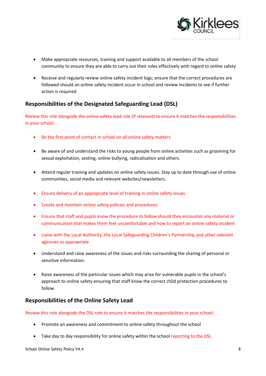

- Make appropriate resources, training and support available to all members of the school community to ensure they are able to carry out their roles effectively with regard to online safety
- Receive and regularly review online safety incident logs; ensure that the correct procedures are followed should an online safety incident occur in school and review incidents to see if further action is required

#### **Responsibilities of the Designated Safeguarding Lead (DSL)**

Review this role alongside the online safety lead role (if relevant) to ensure it matches the responsibilities in your school:

- Be the first point of contact in school on all online safety matters
- Be aware of and understand the risks to young people from online activities such as grooming for sexual exploitation, sexting, online bullying, radicalisation and others.
- Attend regular training and updates on online safety issues. Stay up to date through use of online communities, social media and relevant websites/newsletters.
- Ensure delivery of an appropriate level of training in online safety issues
- Create and maintain online safety policies and procedures
- Ensure that staff and pupils know the procedure to follow should they encounter any material or communication that makes them feel uncomfortable and how to report an online safety incident
- Liaise with the Local Authority, the Local Safeguarding Children's Partnership and other relevant agencies as appropriate
- Understand and raise awareness of the issues and risks surrounding the sharing of personal or sensitive information.
- Raise awareness of the particular issues which may arise for vulnerable pupils in the school's approach to online safety ensuring that staff know the correct child protection procedures to follow.

#### **Responsibilities of the Online Safety Lead**

Review this role alongside the DSL role to ensure it matches the responsibilities in your school:

- Promote an awareness and commitment to online safety throughout the school
- Take day to day responsibility for online safety within the school reporting to the DSL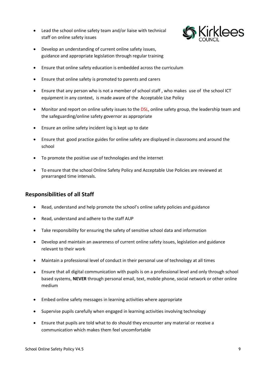Lead the school online safety team and/or liaise with technical staff on online safety issues



- Develop an understanding of current online safety issues, guidance and appropriate legislation through regular training
- Ensure that online safety education is embedded across the curriculum
- Ensure that online safety is promoted to parents and carers
- Ensure that any person who is not a member of school staff , who makes use of the school ICT equipment in any context, is made aware of the Acceptable Use Policy
- Monitor and report on online safety issues to the DSL, online safety group, the leadership team and the safeguarding/online safety governor as appropriate
- Ensure an online safety incident log is kept up to date
- Ensure that good practice guides for online safety are displayed in classrooms and around the school
- To promote the positive use of technologies and the internet
- To ensure that the school Online Safety Policy and Acceptable Use Policies are reviewed at prearranged time intervals.

#### **Responsibilities of all Staff**

- Read, understand and help promote the school's online safety policies and guidance
- Read, understand and adhere to the staff AUP
- Take responsibility for ensuring the safety of sensitive school data and information
- Develop and maintain an awareness of current online safety issues, legislation and guidance relevant to their work
- Maintain a professional level of conduct in their personal use of technology at all times
- Ensure that all digital communication with pupils is on a professional level and only through school based systems, **NEVER** through personal email, text, mobile phone, social network or other online medium
- Embed online safety messages in learning activities where appropriate
- Supervise pupils carefully when engaged in learning activities involving technology
- Ensure that pupils are told what to do should they encounter any material or receive a communication which makes them feel uncomfortable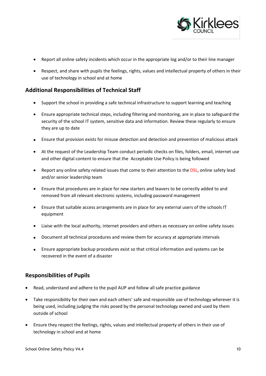

- Report all online safety incidents which occur in the appropriate log and/or to their line manager
- Respect, and share with pupils the feelings, rights, values and intellectual property of others in their use of technology in school and at home

#### **Additional Responsibilities of Technical Staff**

- Support the school in providing a safe technical infrastructure to support learning and teaching
- Ensure appropriate technical steps, including filtering and monitoring, are in place to safeguard the security of the school IT system, sensitive data and information. Review these regularly to ensure they are up to date
- Ensure that provision exists for misuse detection and detection and prevention of malicious attack
- At the request of the Leadership Team conduct periodic checks on files, folders, email, internet use and other digital content to ensure that the Acceptable Use Policy is being followed
- Report any online safety related issues that come to their attention to the DSL, online safety lead and/or senior leadership team
- Ensure that procedures are in place for new starters and leavers to be correctly added to and removed from all relevant electronic systems, including password management
- Ensure that suitable access arrangements are in place for any external users of the schools IT equipment
- Liaise with the local authority, internet providers and others as necessary on online safety issues
- Document all technical procedures and review them for accuracy at appropriate intervals
- Ensure appropriate backup procedures exist so that critical information and systems can be recovered in the event of a disaster

#### **Responsibilities of Pupils**

- Read, understand and adhere to the pupil AUP and follow all safe practice guidance
- Take responsibility for their own and each others' safe and responsible use of technology wherever it is being used, including judging the risks posed by the personal technology owned and used by them outside of school
- Ensure they respect the feelings, rights, values and intellectual property of others in their use of technology in school and at home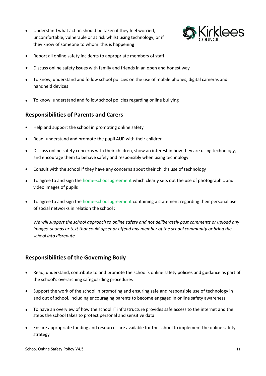Understand what action should be taken if they feel worried, uncomfortable, vulnerable or at risk whilst using technology, or if they know of someone to whom this is happening



- Report all online safety incidents to appropriate members of staff
- Discuss online safety issues with family and friends in an open and honest way
- To know, understand and follow school policies on the use of mobile phones, digital cameras and handheld devices
- To know, understand and follow school policies regarding online bullying

#### **Responsibilities of Parents and Carers**

- Help and support the school in promoting online safety
- Read, understand and promote the pupil AUP with their children
- Discuss online safety concerns with their children, show an interest in how they are using technology, and encourage them to behave safely and responsibly when using technology
- Consult with the school if they have any concerns about their child's use of technology
- To agree to and sign the home-school agreement which clearly sets out the use of photographic and video images of pupils
- To agree to and sign the home-school agreement containing a statement regarding their personal use of social networks in relation the school :

*We will support the school approach to online safety and not deliberately post comments or upload any images, sounds or text that could upset or offend any member of the school community or bring the school into disrepute.* 

#### **Responsibilities of the Governing Body**

- Read, understand, contribute to and promote the school's online safety policies and guidance as part of the school's overarching safeguarding procedures
- Support the work of the school in promoting and ensuring safe and responsible use of technology in and out of school, including encouraging parents to become engaged in online safety awareness
- To have an overview of how the school IT infrastructure provides safe access to the internet and the steps the school takes to protect personal and sensitive data
- Ensure appropriate funding and resources are available for the school to implement the online safety strategy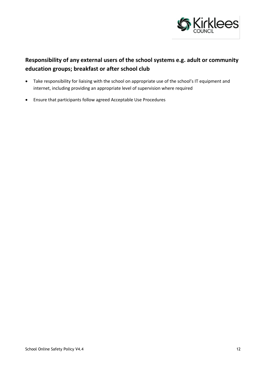

#### **Responsibility of any external users of the school systems e.g. adult or community education groups; breakfast or after school club**

- Take responsibility for liaising with the school on appropriate use of the school's IT equipment and internet, including providing an appropriate level of supervision where required
- Ensure that participants follow agreed Acceptable Use Procedures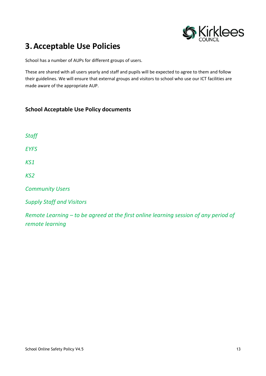

## <span id="page-12-0"></span>**3.Acceptable Use Policies**

School has a number of AUPs for different groups of users.

These are shared with all users yearly and staff and pupils will be expected to agree to them and follow their guidelines. We will ensure that external groups and visitors to school who use our ICT facilities are made aware of the appropriate AUP.

#### **School Acceptable Use Policy documents**

| Staff                            |
|----------------------------------|
| <b>EYFS</b>                      |
| KS1                              |
| KS <sub>2</sub>                  |
| <b>Community Users</b>           |
| <b>Supply Staff and Visitors</b> |

*Remote Learning – to be agreed at the first online learning session of any period of remote learning*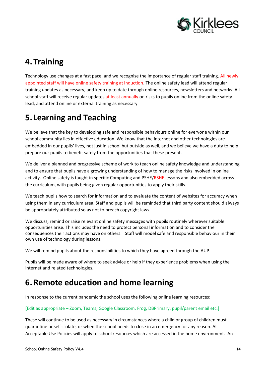

## <span id="page-13-0"></span>**4.Training**

Technology use changes at a fast pace, and we recognise the importance of regular staff training. All newly appointed staff will have online safety training at induction. The online safety lead will attend regular training updates as necessary, and keep up to date through online resources, newsletters and networks. All school staff will receive regular updates at least annually on risks to pupils online from the online safety lead, and attend online or external training as necessary.

## <span id="page-13-1"></span>**5. Learning and Teaching**

We believe that the key to developing safe and responsible behaviours online for everyone within our school community lies in effective education. We know that the internet and other technologies are embedded in our pupils' lives, not just in school but outside as well, and we believe we have a duty to help prepare our pupils to benefit safely from the opportunities that these present.

We deliver a planned and progressive scheme of work to teach online safety knowledge and understanding and to ensure that pupils have a growing understanding of how to manage the risks involved in online activity. Online safety is taught in specific Computing and PSHE/RSHE lessons and also embedded across the curriculum, with pupils being given regular opportunities to apply their skills.

We teach pupils how to search for information and to evaluate the content of websites for accuracy when using them in any curriculum area. Staff and pupils will be reminded that third party content should always be appropriately attributed so as not to breach copyright laws.

We discuss, remind or raise relevant online safety messages with pupils routinely wherever suitable opportunities arise. This includes the need to protect personal information and to consider the consequences their actions may have on others. Staff will model safe and responsible behaviour in their own use of technology during lessons.

We will remind pupils about the responsibilities to which they have agreed through the AUP.

Pupils will be made aware of where to seek advice or help if they experience problems when using the internet and related technologies.

## <span id="page-13-2"></span>**6.Remote education and home learning**

In response to the current pandemic the school uses the following online learning resources:

#### [Edit as appropriate – Zoom, Teams, Google Classroom, Frog, DBPrimary, pupil/parent email etc.]

These will continue to be used as necessary in circumstances where a child or group of children must quarantine or self-isolate, or when the school needs to close in an emergency for any reason. All Acceptable Use Policies will apply to school resources which are accessed in the home environment. An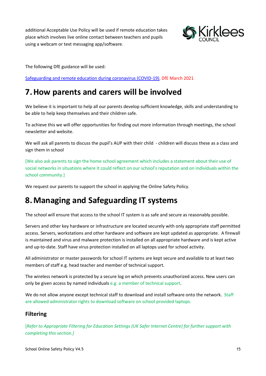additional Acceptable Use Policy will be used if remote education takes place which involves live online contact between teachers and pupils using a webcam or text messaging app/software.



The following DfE guidance will be used:

Safeguarding and [remote education during coronavirus \(COVID-19\),](https://www.gov.uk/guidance/safeguarding-and-remote-education-during-coronavirus-covid-19) DfE March 2021

## <span id="page-14-0"></span>**7.How parents and carers will be involved**

We believe it is important to help all our parents develop sufficient knowledge, skills and understanding to be able to help keep themselves and their children safe.

To achieve this we will offer opportunities for finding out more information through meetings, the school newsletter and website.

We will ask all parents to discuss the pupil's AUP with their child - children will discuss these as a class and sign them in school

[We also ask parents to sign the home school agreement which includes a statement about their use of social networks in situations where it could reflect on our school's reputation and on individuals within the school community.]

We request our parents to support the school in applying the Online Safety Policy.

## <span id="page-14-1"></span>**8.Managing and Safeguarding IT systems**

The school will ensure that access to the school IT system is as safe and secure as reasonably possible.

Servers and other key hardware or infrastructure are located securely with only appropriate staff permitted access. Servers, workstations and other hardware and software are kept updated as appropriate. A firewall is maintained and virus and malware protection is installed on all appropriate hardware and is kept active and up-to-date. Staff have virus protection installed on all laptops used for school activity.

All administrator or master passwords for school IT systems are kept secure and available to at least two members of staff e.g. head teacher and member of technical support.

The wireless network is protected by a secure log on which prevents unauthorized access. New users can only be given access by named individuals e.g. a member of technical support.

We do not allow anyone except technical staff to download and install software onto the network. Staff are allowed administrator rights to download software on school provided laptops.

#### **Filtering**

[*Refer to Appropriate Filtering for Education Settings (UK Safer Internet Centre) for further support with completing this section.]*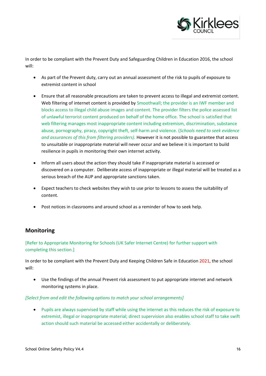

In order to be compliant with the Prevent Duty and Safeguarding Children in Education 2016, the school will:

- As part of the Prevent duty, carry out an annual assessment of the risk to pupils of exposure to extremist content in school
- Ensure that all reasonable precautions are taken to prevent access to illegal and extremist content. Web filtering of internet content is provided by Smoothwall; the provider is an IWF member and blocks access to illegal child abuse images and content. The provider filters the police assessed list of unlawful terrorist content produced on behalf of the home office. The school is satisfied that web filtering manages most inappropriate content including extremism, discrimination, substance abuse, pornography, piracy, copyright theft, self-harm and violence. (*Schools need to seek evidence and assurances of this from filtering providers).* However it is not possible to guarantee that access to unsuitable or inappropriate material will never occur and we believe it is important to build resilience in pupils in monitoring their own internet activity.
- Inform all users about the action they should take if inappropriate material is accessed or discovered on a computer. Deliberate access of inappropriate or illegal material will be treated as a serious breach of the AUP and appropriate sanctions taken.
- Expect teachers to check websites they wish to use prior to lessons to assess the suitability of content.
- Post notices in classrooms and around school as a reminder of how to seek help.

#### **Monitoring**

#### [Refer to Appropriate Monitoring for Schools (UK Safer Internet Centre) for further support with completing this section.]

In order to be compliant with the Prevent Duty and Keeping Children Safe in Education 2021, the school will:

 Use the findings of the annual Prevent risk assessment to put appropriate internet and network monitoring systems in place.

#### *[Select from and edit the following options to match your school arrangements]*

 Pupils are always supervised by staff while using the internet as this reduces the risk of exposure to extremist, illegal or inappropriate material; direct supervision also enables school staff to take swift action should such material be accessed either accidentally or deliberately.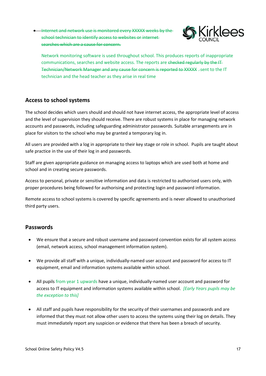**Internet and network use is monitored every XXXXX weeks by the**school technician to identify access to websites or internet searches which are a cause for concern.



Network monitoring software is used throughout school. This produces reports of inappropriate communications, searches and website access. The reports are checked regularly by the IT-Technician/Network Manager and any cause for concern is reported to XXXXX . sent to the IT technician and the head teacher as they arise in real time

#### **Access to school systems**

The school decides which users should and should not have internet access, the appropriate level of access and the level of supervision they should receive. There are robust systems in place for managing network accounts and passwords, including safeguarding administrator passwords. Suitable arrangements are in place for visitors to the school who may be granted a temporary log in.

All users are provided with a log in appropriate to their key stage or role in school. Pupils are taught about safe practice in the use of their log in and passwords.

Staff are given appropriate guidance on managing access to laptops which are used both at home and school and in creating secure passwords.

Access to personal, private or sensitive information and data is restricted to authorised users only, with proper procedures being followed for authorising and protecting login and password information.

Remote access to school systems is covered by specific agreements and is never allowed to unauthorised third party users.

#### **Passwords**

- We ensure that a secure and robust username and password convention exists for all system access (email, network access, school management information system).
- We provide all staff with a unique, individually-named user account and password for access to IT equipment, email and information systems available within school.
- All pupils from year 1 upwards have a unique, individually-named user account and password for access to IT equipment and information systems available within school. *[Early Years pupils may be the exception to this]*
- All staff and pupils have responsibility for the security of their usernames and passwords and are informed that they must not allow other users to access the systems using their log on details. They must immediately report any suspicion or evidence that there has been a breach of security.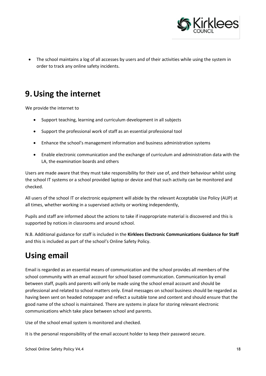

 The school maintains a log of all accesses by users and of their activities while using the system in order to track any online safety incidents.

## <span id="page-17-0"></span>**9.Using the internet**

We provide the internet to

- Support teaching, learning and curriculum development in all subjects
- Support the professional work of staff as an essential professional tool
- Enhance the school's management information and business administration systems
- Enable electronic communication and the exchange of curriculum and administration data with the LA, the examination boards and others

Users are made aware that they must take responsibility for their use of, and their behaviour whilst using the school IT systems or a school provided laptop or device and that such activity can be monitored and checked.

All users of the school IT or electronic equipment will abide by the relevant Acceptable Use Policy (AUP) at all times, whether working in a supervised activity or working independently,

Pupils and staff are informed about the actions to take if inappropriate material is discovered and this is supported by notices in classrooms and around school.

N.B. Additional guidance for staff is included in the **Kirklees Electronic Communications Guidance for Staff**  and this is included as part of the school's Online Safety Policy.

## **Using email**

Email is regarded as an essential means of communication and the school provides all members of the school community with an email account for school based communication. Communication by email between staff, pupils and parents will only be made using the school email account and should be professional and related to school matters only. Email messages on school business should be regarded as having been sent on headed notepaper and reflect a suitable tone and content and should ensure that the good name of the school is maintained. There are systems in place for storing relevant electronic communications which take place between school and parents.

Use of the school email system is monitored and checked.

It is the personal responsibility of the email account holder to keep their password secure.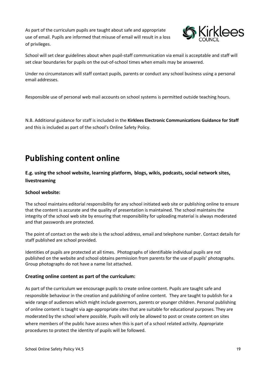As part of the curriculum pupils are taught about safe and appropriate use of email. Pupils are informed that misuse of email will result in a loss of privileges.



School will set clear guidelines about when pupil-staff communication via email is acceptable and staff will set clear boundaries for pupils on the out-of-school times when emails may be answered.

Under no circumstances will staff contact pupils, parents or conduct any school business using a personal email addresses.

Responsible use of personal web mail accounts on school systems is permitted outside teaching hours.

N.B. Additional guidance for staff is included in the **Kirklees Electronic Communications Guidance for Staff**  and this is included as part of the school's Online Safety Policy.

## **Publishing content online**

**E.g. using the school website, learning platform, blogs, wikis, podcasts, social network sites, livestreaming**

#### **School website:**

The school maintains editorial responsibility for any school initiated web site or publishing online to ensure that the content is accurate and the quality of presentation is maintained. The school maintains the integrity of the school web site by ensuring that responsibility for uploading material is always moderated and that passwords are protected.

The point of contact on the web site is the school address, email and telephone number. Contact details for staff published are school provided.

Identities of pupils are protected at all times. Photographs of identifiable individual pupils are not published on the website and school obtains permission from parents for the use of pupils' photographs. Group photographs do not have a name list attached.

#### **Creating online content as part of the curriculum:**

As part of the curriculum we encourage pupils to create online content. Pupils are taught safe and responsible behaviour in the creation and publishing of online content. They are taught to publish for a wide range of audiences which might include governors, parents or younger children. Personal publishing of online content is taught via age-appropriate sites that are suitable for educational purposes. They are moderated by the school where possible. Pupils will only be allowed to post or create content on sites where members of the public have access when this is part of a school related activity. Appropriate procedures to protect the identity of pupils will be followed.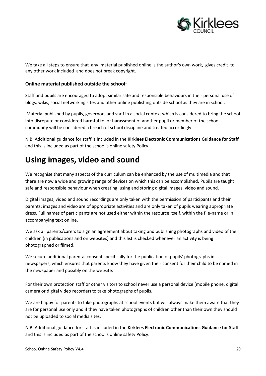

We take all steps to ensure that any material published online is the author's own work, gives credit to any other work included and does not break copyright.

#### **Online material published outside the school:**

Staff and pupils are encouraged to adopt similar safe and responsible behaviours in their personal use of blogs, wikis, social networking sites and other online publishing outside school as they are in school.

Material published by pupils, governors and staff in a social context which is considered to bring the school into disrepute or considered harmful to, or harassment of another pupil or member of the school community will be considered a breach of school discipline and treated accordingly.

N.B. Additional guidance for staff is included in the **Kirklees Electronic Communications Guidance for Staff**  and this is included as part of the school's online safety Policy.

### **Using images, video and sound**

We recognise that many aspects of the curriculum can be enhanced by the use of multimedia and that there are now a wide and growing range of devices on which this can be accomplished. Pupils are taught safe and responsible behaviour when creating, using and storing digital images, video and sound.

Digital images, video and sound recordings are only taken with the permission of participants and their parents; images and video are of appropriate activities and are only taken of pupils wearing appropriate dress. Full names of participants are not used either within the resource itself, within the file-name or in accompanying text online.

We ask all parents/carers to sign an agreement about taking and publishing photographs and video of their children (in publications and on websites) and this list is checked whenever an activity is being photographed or filmed.

We secure additional parental consent specifically for the publication of pupils' photographs in newspapers, which ensures that parents know they have given their consent for their child to be named in the newspaper and possibly on the website.

For their own protection staff or other visitors to school never use a personal device (mobile phone, digital camera or digital video recorder) to take photographs of pupils.

We are happy for parents to take photographs at school events but will always make them aware that they are for personal use only and if they have taken photographs of children other than their own they should not be uploaded to social media sites.

N.B. Additional guidance for staff is included in the **Kirklees Electronic Communications Guidance for Staff**  and this is included as part of the school's online safety Policy.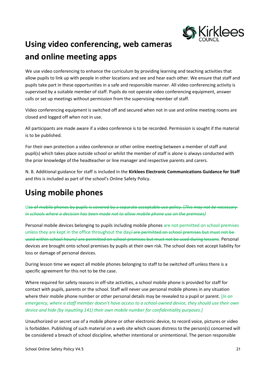

## **Using video conferencing, web cameras and online meeting apps**

We use video conferencing to enhance the curriculum by providing learning and teaching activities that allow pupils to link up with people in other locations and see and hear each other. We ensure that staff and pupils take part in these opportunities in a safe and responsible manner. All video conferencing activity is supervised by a suitable member of staff. Pupils do not operate video conferencing equipment, answer calls or set up meetings without permission from the supervising member of staff.

Video conferencing equipment is switched off and secured when not in use and online meeting rooms are closed and logged off when not in use.

All participants are made aware if a video conference is to be recorded. Permission is sought if the material is to be published.

For their own protection a video conference or other online meeting between a member of staff and pupil(s) which takes place outside school or whilst the member of staff is alone is always conducted with the prior knowledge of the headteacher or line manager and respective parents and carers.

N. B. Additional guidance for staff is included in the **Kirklees Electronic Communications Guidance for Staff**  and this is included as part of the school's Online Safety Policy.

## **Using mobile phones**

Use of mobile phones by pupils is covered by a separate acceptable use policy. [*This may not be necessary in schools where a decision has been made not to allow mobile phone use on the premises]*

Personal mobile devices belonging to pupils including mobile phones are not permitted on school premises unless they are kept in the office throughout the day/are permitted on school premises but must not beused within school hours/ are permitted on school premises but must not be used during lessons. Personal devices are brought onto school premises by pupils at their own risk. The school does not accept liability for loss or damage of personal devices.

During lesson time we expect all mobile phones belonging to staff to be switched off unless there is a specific agreement for this not to be the case.

Where required for safety reasons in off-site activities, a school mobile phone is provided for staff for contact with pupils, parents or the school. Staff will never use personal mobile phones in any situation where their mobile phone number or other personal details may be revealed to a pupil or parent. [*In an emergency, where a staff member doesn't have access to a school-owned device, they should use their own device and hide (by inputting 141) their own mobile number for confidentiality purposes.]*

Unauthorized or secret use of a mobile phone or other electronic device, to record voice, pictures or video is forbidden. Publishing of such material on a web site which causes distress to the person(s) concerned will be considered a breach of school discipline, whether intentional or unintentional. The person responsible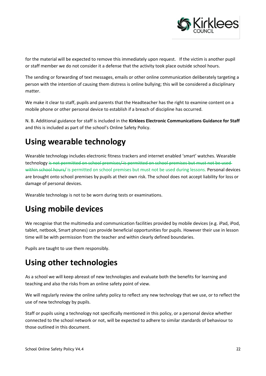

for the material will be expected to remove this immediately upon request. If the victim is another pupil or staff member we do not consider it a defense that the activity took place outside school hours.

The sending or forwarding of text messages, emails or other online communication deliberately targeting a person with the intention of causing them distress is online bullying; this will be considered a disciplinary matter.

We make it clear to staff, pupils and parents that the Headteacher has the right to examine content on a mobile phone or other personal device to establish if a breach of discipline has occurred.

N. B. Additional guidance for staff is included in the **Kirklees Electronic Communications Guidance for Staff**  and this is included as part of the school's Online Safety Policy.

## **Using wearable technology**

Wearable technology includes electronic fitness trackers and internet enabled 'smart' watches. Wearable technology is not permitted on school premises/ is permitted on school premises but must not be used within school hours/ is permitted on school premises but must not be used during lessons. Personal devices are brought onto school premises by pupils at their own risk. The school does not accept liability for loss or damage of personal devices.

Wearable technology is not to be worn during tests or examinations.

## **Using mobile devices**

We recognise that the multimedia and communication facilities provided by mobile devices (e.g. iPad, iPod, tablet, netbook, Smart phones) can provide beneficial opportunities for pupils. However their use in lesson time will be with permission from the teacher and within clearly defined boundaries.

Pupils are taught to use them responsibly.

## **Using other technologies**

As a school we will keep abreast of new technologies and evaluate both the benefits for learning and teaching and also the risks from an online safety point of view.

We will regularly review the online safety policy to reflect any new technology that we use, or to reflect the use of new technology by pupils.

Staff or pupils using a technology not specifically mentioned in this policy, or a personal device whether connected to the school network or not, will be expected to adhere to similar standards of behaviour to those outlined in this document.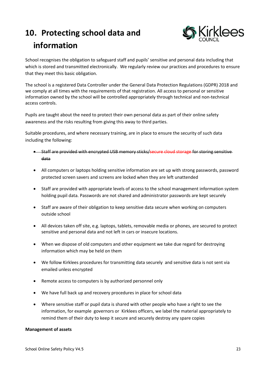## <span id="page-22-0"></span>**10. Protecting school data and information**



School recognises the obligation to safeguard staff and pupils' sensitive and personal data including that which is stored and transmitted electronically. We regularly review our practices and procedures to ensure that they meet this basic obligation.

The school is a registered Data Controller under the General Data Protection Regulations (GDPR) 2018 and we comply at all times with the requirements of that registration. All access to personal or sensitive information owned by the school will be controlled appropriately through technical and non-technical access controls.

Pupils are taught about the need to protect their own personal data as part of their online safety awareness and the risks resulting from giving this away to third parties.

Suitable procedures, and where necessary training, are in place to ensure the security of such data including the following:

- Staff are provided with encrypted USB memory sticks/secure cloud storage for storing sensitive data
- All computers or laptops holding sensitive information are set up with strong passwords, password protected screen savers and screens are locked when they are left unattended
- Staff are provided with appropriate levels of access to the school management information system holding pupil data. Passwords are not shared and administrator passwords are kept securely
- Staff are aware of their obligation to keep sensitive data secure when working on computers outside school
- All devices taken off site, e.g. laptops, tablets, removable media or phones, are secured to protect sensitive and personal data and not left in cars or insecure locations.
- When we dispose of old computers and other equipment we take due regard for destroying information which may be held on them
- We follow Kirklees procedures for transmitting data securely and sensitive data is not sent via emailed unless encrypted
- Remote access to computers is by authorized personnel only
- We have full back up and recovery procedures in place for school data
- Where sensitive staff or pupil data is shared with other people who have a right to see the information, for example governors or Kirklees officers, we label the material appropriately to remind them of their duty to keep it secure and securely destroy any spare copies

#### **Management of assets**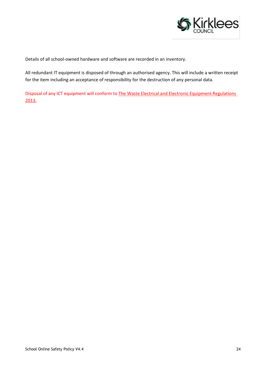

Details of all school-owned hardware and software are recorded in an inventory.

All redundant IT equipment is disposed of through an authorised agency. This will include a written receipt for the item including an acceptance of responsibility for the destruction of any personal data.

Disposal of any ICT equipment will conform to [The Waste Electrical and Electronic Equipment Regulations](https://www.gov.uk/guidance/regulations-waste-electrical-and-electronic-equipment)  [2013.](https://www.gov.uk/guidance/regulations-waste-electrical-and-electronic-equipment)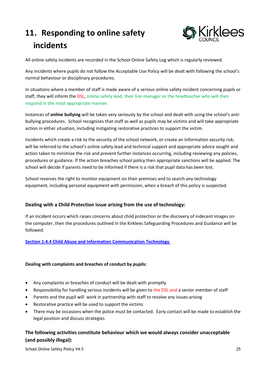## <span id="page-24-0"></span>**11. Responding to online safety incidents**



All online safety incidents are recorded in the School Online Safety Log which is regularly reviewed.

Any incidents where pupils do not follow the Acceptable Use Policy will be dealt with following the school's normal behaviour or disciplinary procedures.

In situations where a member of staff is made aware of a serious online safety incident concerning pupils or staff, they will inform the DSL, online safety lead, their line manager or the headteacher who will then respond in the most appropriate manner.

Instances of **online bullying** will be taken very seriously by the school and dealt with using the school's antibullying procedures. School recognizes that staff as well as pupils may be victims and will take appropriate action in either situation, including instigating restorative practices to support the victim.

Incidents which create a risk to the security of the school network, or create an information security risk, will be referred to the school's online safety lead and technical support and appropriate advice sought and action taken to minimize the risk and prevent further instances occurring, including reviewing any policies, procedures or guidance. If the action breaches school policy then appropriate sanctions will be applied. The school will decide if parents need to be informed if there is a risk that pupil data has been lost.

School reserves the right to monitor equipment on their premises and to search any technology equipment, including personal equipment with permission, when a breach of this policy is suspected.

#### **Dealing with a Child Protection issue arising from the use of technology:**

If an incident occurs which raises concerns about child protection or the discovery of indecent images on the computer, then the procedures outlined in the Kirklees Safeguarding Procedures and Guidance will be followed.

#### **Section 1.4.4 [Child Abuse and Information Communication Technology](https://westyorkscb.proceduresonline.com/chapters/p_ca_information.html)**

#### **Dealing with complaints and breaches of conduct by pupils:**

- Any complaints or breaches of conduct will be dealt with promptly
- Responsibility for handling serious incidents will be given to the DSL and a senior member of staff
- Parents and the pupil will work in partnership with staff to resolve any issues arising
- Restorative practice will be used to support the victims
- There may be occasions when the police must be contacted. Early contact will be made to establish the legal position and discuss strategies

#### **The following activities constitute behaviour which we would always consider unacceptable (and possibly illegal):**

School Online Safety Policy V4.5 25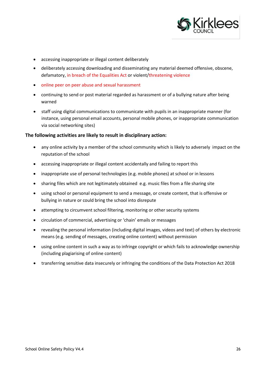

- accessing inappropriate or illegal content deliberately
- deliberately accessing downloading and disseminating any material deemed offensive, obscene, defamatory, in breach of the Equalities Act or violent/threatening violence
- online peer on peer abuse and sexual harassment
- continuing to send or post material regarded as harassment or of a bullying nature after being warned
- staff using digital communications to communicate with pupils in an inappropriate manner (for instance, using personal email accounts, personal mobile phones, or inappropriate communication via social networking sites)

#### **The following activities are likely to result in disciplinary action:**

- any online activity by a member of the school community which is likely to adversely impact on the reputation of the school
- accessing inappropriate or illegal content accidentally and failing to report this
- inappropriate use of personal technologies (e.g. mobile phones) at school or in lessons
- sharing files which are not legitimately obtained e.g. music files from a file sharing site
- using school or personal equipment to send a message, or create content, that is offensive or bullying in nature or could bring the school into disrepute
- attempting to circumvent school filtering, monitoring or other security systems
- circulation of commercial, advertising or 'chain' emails or messages
- revealing the personal information (including digital images, videos and text) of others by electronic means (e.g. sending of messages, creating online content) without permission
- using online content in such a way as to infringe copyright or which fails to acknowledge ownership (including plagiarising of online content)
- transferring sensitive data insecurely or infringing the conditions of the Data Protection Act 2018